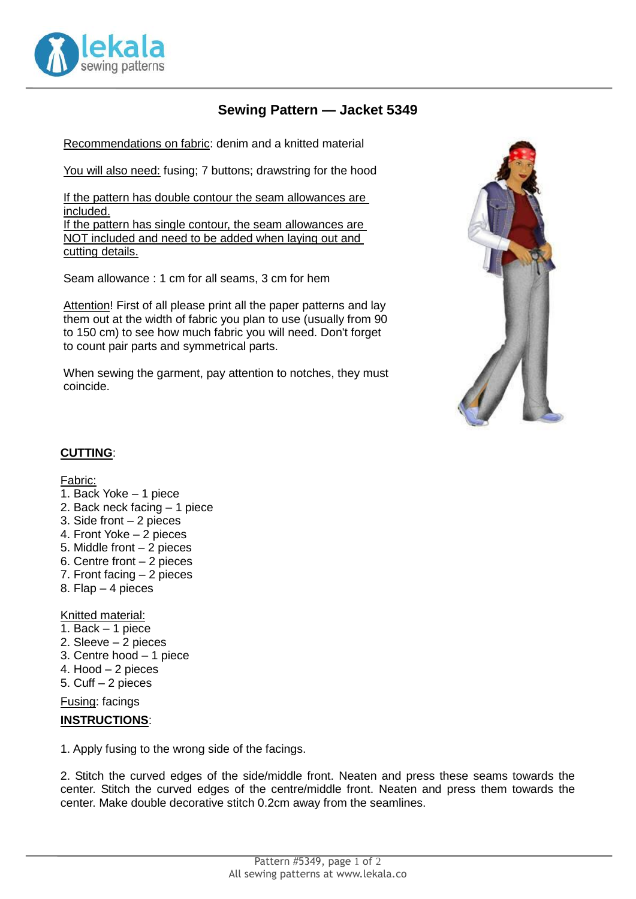

## **Sewing Pattern — Jacket 5349**

Recommendations on fabric: denim and a knitted material

You will also need: fusing; 7 buttons; drawstring for the hood

If the pattern has double contour the seam allowances are included. If the pattern has single contour, the seam allowances are NOT included and need to be added when laying out and cutting details.

Seam allowance : 1 cm for all seams, 3 cm for hem

Attention! First of all please print all the paper patterns and lay them out at the width of fabric you plan to use (usually from 90 to 150 cm) to see how much fabric you will need. Don't forget to count pair parts and symmetrical parts.

When sewing the garment, pay attention to notches, they must coincide.



## **CUTTING**:

## Fabric:

- 1. Back Yoke 1 piece
- 2. Back neck facing 1 piece
- 3. Side front 2 pieces
- 4. Front Yoke 2 pieces
- 5. Middle front 2 pieces
- 6. Centre front 2 pieces
- 7. Front facing 2 pieces
- 8. Flap 4 pieces

Knitted material:

- 1. Back 1 piece
- 2. Sleeve 2 pieces
- 3. Centre hood 1 piece
- 4. Hood 2 pieces
- 5. Cuff 2 pieces

Fusing: facings

## **INSTRUCTIONS**:

1. Apply fusing to the wrong side of the facings.

2. Stitch the curved edges of the side/middle front. Neaten and press these seams towards the center. Stitch the curved edges of the centre/middle front. Neaten and press them towards the center. Make double decorative stitch 0.2cm away from the seamlines.